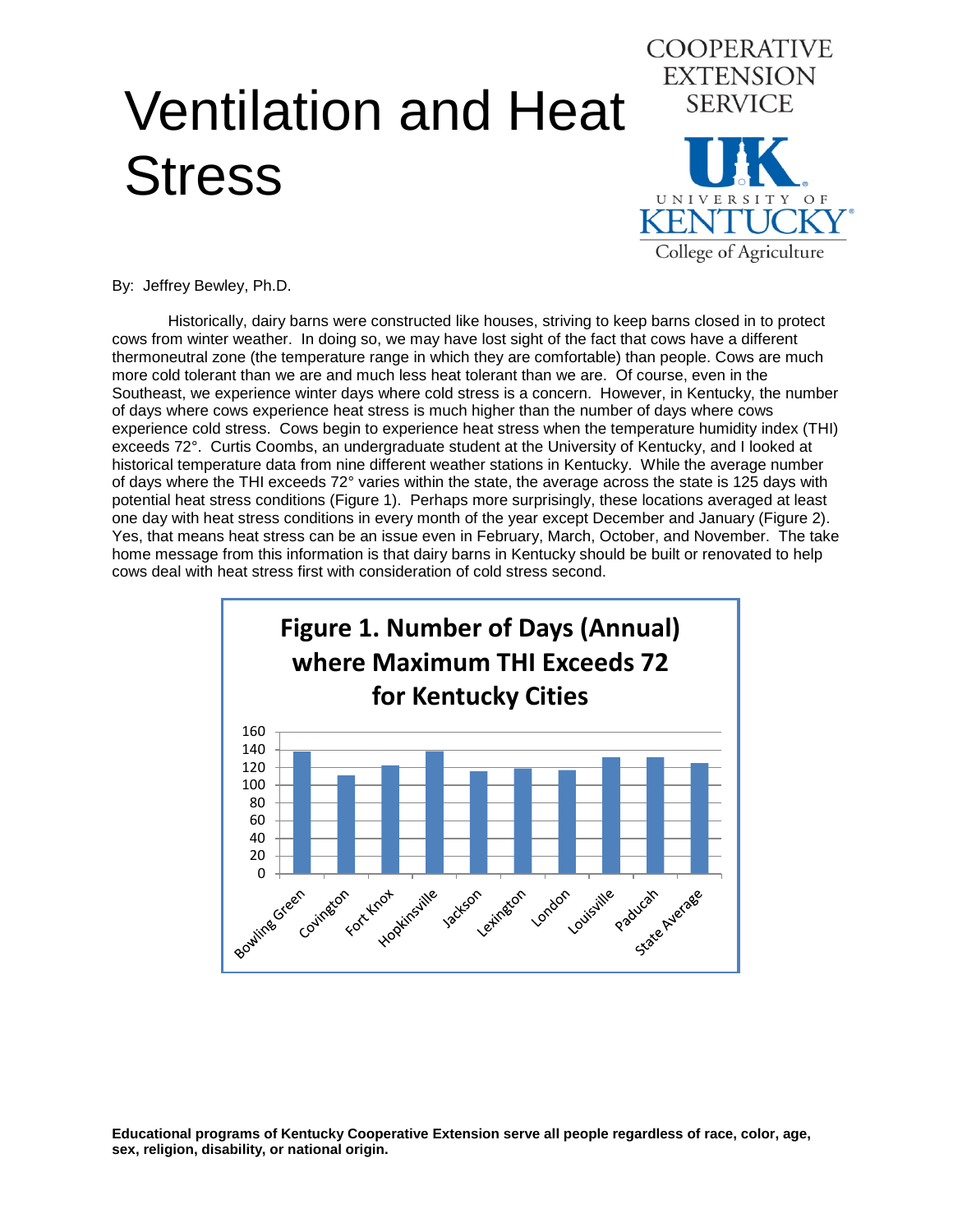## Ventilation and Heat **Stress**



By: Jeffrey Bewley, Ph.D.

Historically, dairy barns were constructed like houses, striving to keep barns closed in to protect cows from winter weather. In doing so, we may have lost sight of the fact that cows have a different thermoneutral zone (the temperature range in which they are comfortable) than people. Cows are much more cold tolerant than we are and much less heat tolerant than we are. Of course, even in the Southeast, we experience winter days where cold stress is a concern. However, in Kentucky, the number of days where cows experience heat stress is much higher than the number of days where cows experience cold stress. Cows begin to experience heat stress when the temperature humidity index (THI) exceeds 72°. Curtis Coombs, an undergraduate student at the University of Kentucky, and I looked at historical temperature data from nine different weather stations in Kentucky. While the average number of days where the THI exceeds 72° varies within the state, the average across the state is 125 days with potential heat stress conditions (Figure 1). Perhaps more surprisingly, these locations averaged at least one day with heat stress conditions in every month of the year except December and January (Figure 2). Yes, that means heat stress can be an issue even in February, March, October, and November. The take home message from this information is that dairy barns in Kentucky should be built or renovated to help cows deal with heat stress first with consideration of cold stress second.

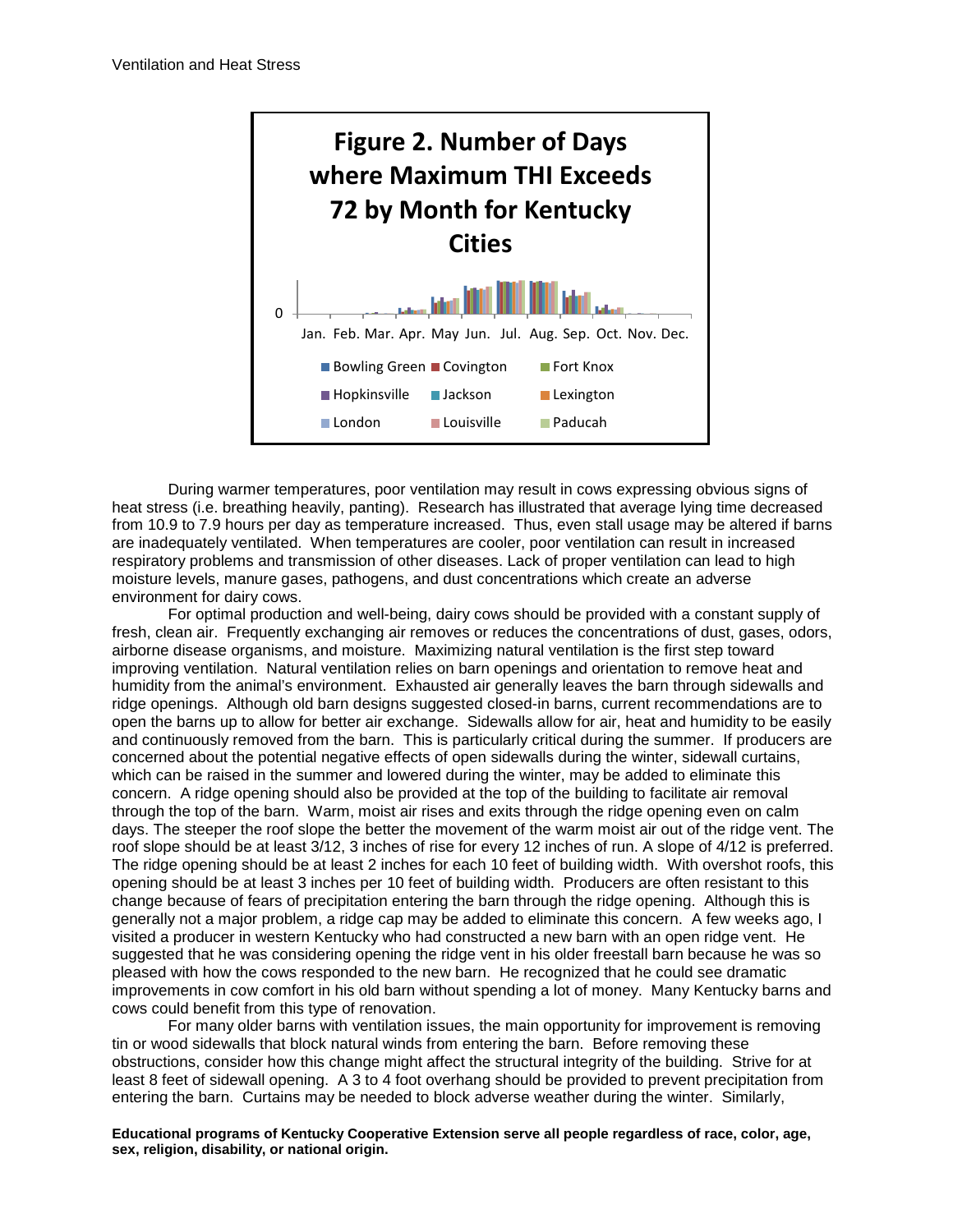

During warmer temperatures, poor ventilation may result in cows expressing obvious signs of heat stress (i.e. breathing heavily, panting). Research has illustrated that average lying time decreased from 10.9 to 7.9 hours per day as temperature increased. Thus, even stall usage may be altered if barns are inadequately ventilated. When temperatures are cooler, poor ventilation can result in increased respiratory problems and transmission of other diseases. Lack of proper ventilation can lead to high moisture levels, manure gases, pathogens, and dust concentrations which create an adverse environment for dairy cows.

For optimal production and well-being, dairy cows should be provided with a constant supply of fresh, clean air. Frequently exchanging air removes or reduces the concentrations of dust, gases, odors, airborne disease organisms, and moisture. Maximizing natural ventilation is the first step toward improving ventilation. Natural ventilation relies on barn openings and orientation to remove heat and humidity from the animal's environment. Exhausted air generally leaves the barn through sidewalls and ridge openings. Although old barn designs suggested closed-in barns, current recommendations are to open the barns up to allow for better air exchange. Sidewalls allow for air, heat and humidity to be easily and continuously removed from the barn. This is particularly critical during the summer. If producers are concerned about the potential negative effects of open sidewalls during the winter, sidewall curtains, which can be raised in the summer and lowered during the winter, may be added to eliminate this concern. A ridge opening should also be provided at the top of the building to facilitate air removal through the top of the barn. Warm, moist air rises and exits through the ridge opening even on calm days. The steeper the roof slope the better the movement of the warm moist air out of the ridge vent. The roof slope should be at least 3/12, 3 inches of rise for every 12 inches of run. A slope of 4/12 is preferred. The ridge opening should be at least 2 inches for each 10 feet of building width. With overshot roofs, this opening should be at least 3 inches per 10 feet of building width. Producers are often resistant to this change because of fears of precipitation entering the barn through the ridge opening. Although this is generally not a major problem, a ridge cap may be added to eliminate this concern. A few weeks ago, I visited a producer in western Kentucky who had constructed a new barn with an open ridge vent. He suggested that he was considering opening the ridge vent in his older freestall barn because he was so pleased with how the cows responded to the new barn. He recognized that he could see dramatic improvements in cow comfort in his old barn without spending a lot of money. Many Kentucky barns and cows could benefit from this type of renovation.

For many older barns with ventilation issues, the main opportunity for improvement is removing tin or wood sidewalls that block natural winds from entering the barn. Before removing these obstructions, consider how this change might affect the structural integrity of the building. Strive for at least 8 feet of sidewall opening. A 3 to 4 foot overhang should be provided to prevent precipitation from entering the barn. Curtains may be needed to block adverse weather during the winter. Similarly,

## **Educational programs of Kentucky Cooperative Extension serve all people regardless of race, color, age, sex, religion, disability, or national origin.**